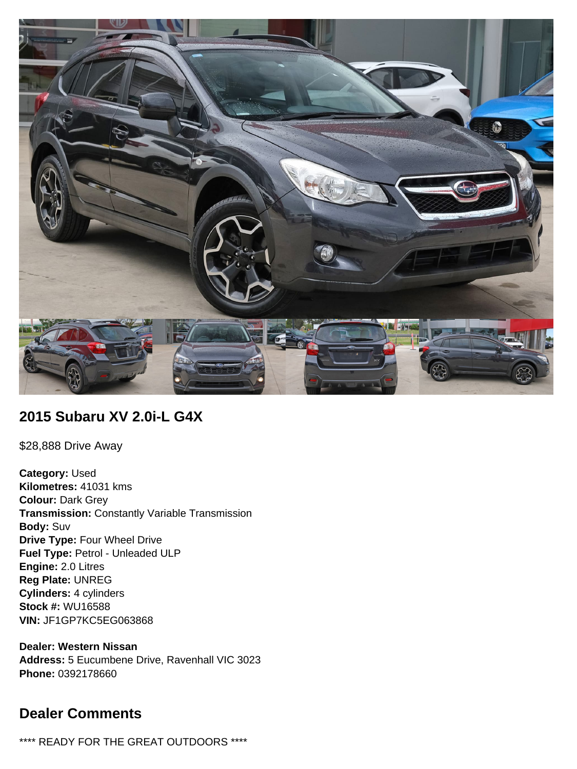

# **2015 Subaru XV 2.0i-L G4X**

\$28,888 Drive Away

**Category:** Used **Kilometres:** 41031 kms **Colour:** Dark Grey **Transmission:** Constantly Variable Transmission **Body:** Suv **Drive Type:** Four Wheel Drive **Fuel Type:** Petrol - Unleaded ULP **Engine:** 2.0 Litres **Reg Plate:** UNREG **Cylinders:** 4 cylinders **Stock #:** WU16588 **VIN:** JF1GP7KC5EG063868

**Dealer: Western Nissan Address:** 5 Eucumbene Drive, Ravenhall VIC 3023 **Phone:** 0392178660

# **Dealer Comments**

\*\*\*\* READY FOR THE GREAT OUTDOORS \*\*\*\*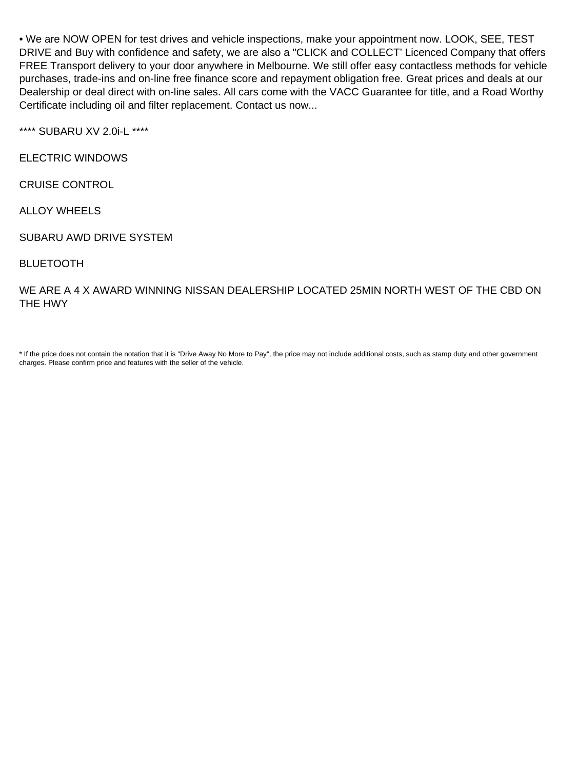• We are NOW OPEN for test drives and vehicle inspections, make your appointment now. LOOK, SEE, TEST DRIVE and Buy with confidence and safety, we are also a "CLICK and COLLECT' Licenced Company that offers FREE Transport delivery to your door anywhere in Melbourne. We still offer easy contactless methods for vehicle purchases, trade-ins and on-line free finance score and repayment obligation free. Great prices and deals at our Dealership or deal direct with on-line sales. All cars come with the VACC Guarantee for title, and a Road Worthy Certificate including oil and filter replacement. Contact us now...

\*\*\*\* SUBARU XV 2.0i-L \*\*\*\*

ELECTRIC WINDOWS

CRUISE CONTROL

ALLOY WHEELS

SUBARU AWD DRIVE SYSTEM

BLUETOOTH

WE ARE A 4 X AWARD WINNING NISSAN DEALERSHIP LOCATED 25MIN NORTH WEST OF THE CBD ON THE HWY

\* If the price does not contain the notation that it is "Drive Away No More to Pay", the price may not include additional costs, such as stamp duty and other government charges. Please confirm price and features with the seller of the vehicle.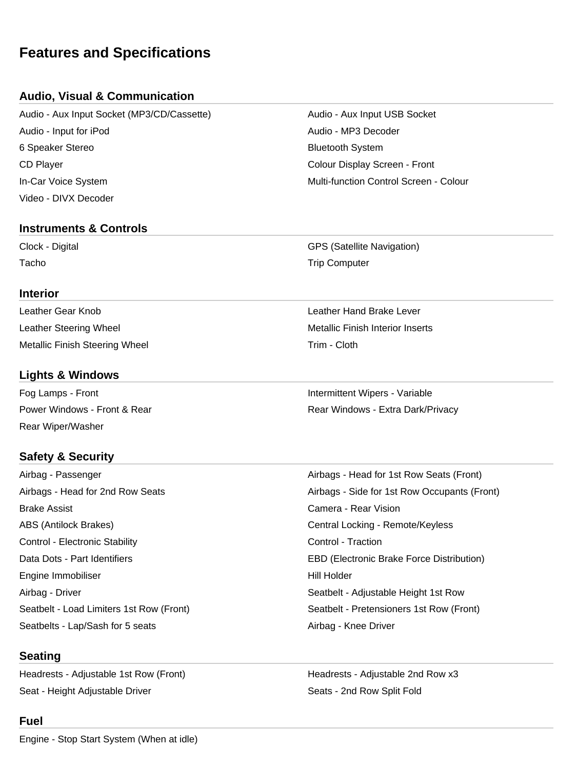# **Features and Specifications**

## **Audio, Visual & Communication**

Audio - Aux Input Socket (MP3/CD/Cassette) Audio - Aux Input USB Socket Audio - Input for iPod Audio - MP3 Decoder 6 Speaker Stereo **Bluetooth System** Bluetooth System CD Player Colour Display Screen - Front In-Car Voice System Multi-function Control Screen - Colour Video - DIVX Decoder

### **Instruments & Controls**

### **Interior**

Leather Gear Knob Leather Hand Brake Lever Leather Steering Wheel **Metallic Finish Interior Inserts** Metallic Finish Interior Inserts Metallic Finish Steering Wheel Trim - Cloth

## **Lights & Windows**

Fog Lamps - Front **Intermittent Wipers - Variable** Rear Wiper/Washer

## **Safety & Security**

Airbag - Passenger Airbags - Head for 2nd Row Seats **Brake Assist** ABS (Antilock Brakes) Control - Electronic Stability Data Dots - Part Identifiers Engine Immobiliser Airbag - Driver Seatbelt - Load Limiters 1st Row (Front) Seatbelts - Lap/Sash for 5 seats Airbag - Knee Driver

### **Seating**

Headrests - Adjustable 1st Row (Front) Headrests - Adjustable 2nd Row x3 Seat - Height Adjustable Driver Seats - 2nd Row Split Fold

### **Fuel**

Clock - Digital GPS (Satellite Navigation) Tacho **Trip Computer** Trip Computer

Power Windows - Front & Rear **Rear Rear Rear Windows - Extra Dark/Privacy** 

| Airbags - Head for 1st Row Seats (Front)         |
|--------------------------------------------------|
| Airbags - Side for 1st Row Occupants (Front)     |
| Camera - Rear Vision                             |
| Central Locking - Remote/Keyless                 |
| Control - Traction                               |
| <b>EBD (Electronic Brake Force Distribution)</b> |
| Hill Holder                                      |
| Seatbelt - Adjustable Height 1st Row             |
| Seatbelt - Pretensioners 1st Row (Front)         |
| $\cdots$ $\cdots$ $\cdots$                       |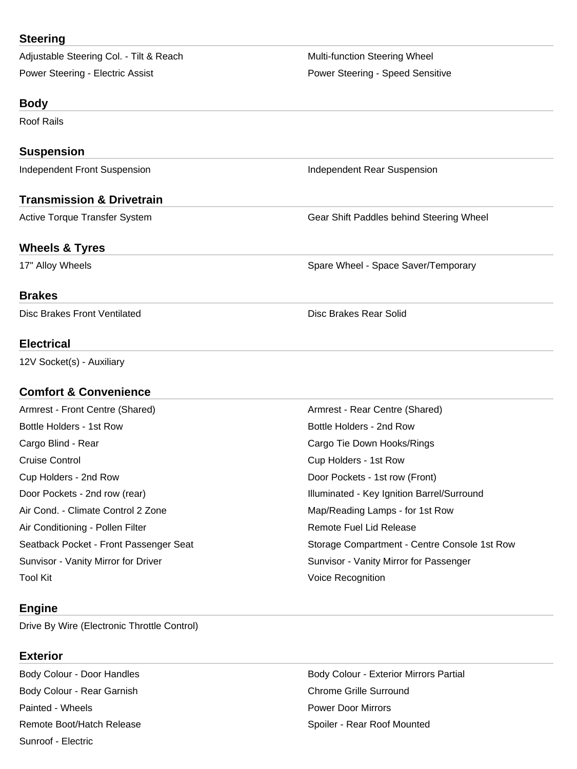### **Steering**

Adjustable Steering Col. - Tilt & Reach Multi-function Steering Wheel Power Steering - Electric Assist **Power Steering - Speed Sensitive** Power Steering - Speed Sensitive

#### **Body**

Roof Rails

#### **Suspension**

Independent Front Suspension **Independent Rear Suspension** Independent Rear Suspension

### **Transmission & Drivetrain**

Active Torque Transfer System Gear Shift Paddles behind Steering Wheel

#### **Wheels & Tyres**

17" Alloy Wheels **Spare Wheel - Space Saver/Temporary** Spare Wheel - Space Saver/Temporary

#### **Brakes**

Disc Brakes Front Ventilated **Disc Brakes Rear Solid** Disc Brakes Rear Solid

#### **Electrical**

12V Socket(s) - Auxiliary

### **Comfort & Convenience**

Armrest - Front Centre (Shared) **Armrest - Rear Centre (Shared**) Bottle Holders - 1st Row **Bottle Holders - 2nd Row** Bottle Holders - 2nd Row Cargo Blind - Rear Cargo Tie Down Hooks/Rings Cruise Control Cup Holders - 1st Row Cup Holders - 2nd Row **Door Pockets - 1st row (Front)** Air Cond. - Climate Control 2 Zone Map/Reading Lamps - for 1st Row Air Conditioning - Pollen Filter **Remote Fuel Lid Release** Remote Fuel Lid Release Sunvisor - Vanity Mirror for Driver Sunvisor - Vanity Mirror for Passenger Tool Kit **The Contract Contract Contract Contract Contract Contract Contract Contract Contract Contract Contract Contract Contract Contract Contract Contract Contract Contract Contract Contract Contract Contract Contract C** 

### **Engine**

Drive By Wire (Electronic Throttle Control)

#### **Exterior**

Body Colour - Rear Garnish Chrome Grille Surround Painted - Wheels Power Door Mirrors Remote Boot/Hatch Release Spoiler - Rear Roof Mounted Sunroof - Electric

Door Pockets - 2nd row (rear) The Coord Coordinated - Key Ignition Barrel/Surround Seatback Pocket - Front Passenger Seat Storage Compartment - Centre Console 1st Row

Body Colour - Door Handles **Body Colour - Exterior Mirrors Partial**